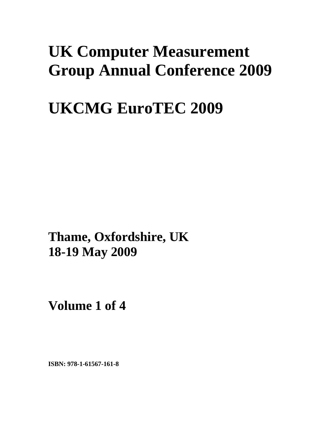## **UK Computer Measurement Group Annual Conference 2009**

# **UKCMG EuroTEC 2009**

**Thame, Oxfordshire, UK 18-19 May 2009**

**Volume 1 of 4** 

**ISBN: 978-1-61567-161-8**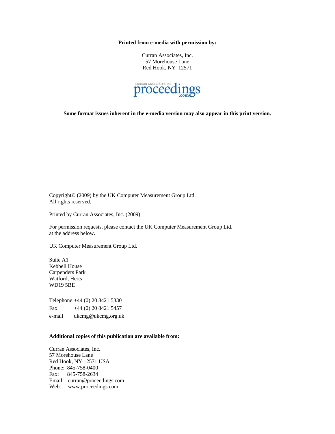**Printed from e-media with permission by:** 

Curran Associates, Inc. 57 Morehouse Lane Red Hook, NY 12571



**Some format issues inherent in the e-media version may also appear in this print version.** 

Copyright© (2009) by the UK Computer Measurement Group Ltd. All rights reserved.

Printed by Curran Associates, Inc. (2009)

For permission requests, please contact the UK Computer Measurement Group Ltd. at the address below.

UK Computer Measurement Group Ltd.

Suite A1 Kebbell House Carpenders Park Watford, Herts WD19 5BE

Telephone +44 (0) 20 8421 5330 Fax  $+44(0)$  20 8421 5457 e-mail ukcmg@ukcmg.org.uk

#### **Additional copies of this publication are available from:**

Curran Associates, Inc. 57 Morehouse Lane Red Hook, NY 12571 USA Phone: 845-758-0400 Fax: 845-758-2634 Email: curran@proceedings.com Web: www.proceedings.com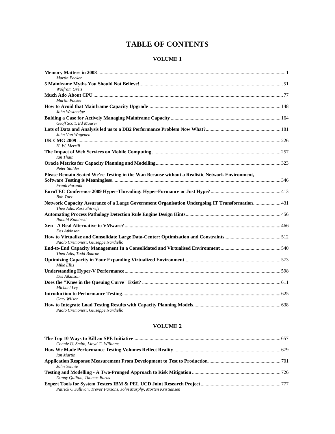### **TABLE OF CONTENTS**

### **VOLUME 1**

| <b>Martin Packer</b>                                                                                                       |  |
|----------------------------------------------------------------------------------------------------------------------------|--|
| <b>Wolfram Greis</b>                                                                                                       |  |
|                                                                                                                            |  |
| <b>Martin Packer</b>                                                                                                       |  |
| John Westnedge                                                                                                             |  |
| Geoff Scott, Ed Maurer                                                                                                     |  |
| John Van Wagenen                                                                                                           |  |
|                                                                                                                            |  |
| H. W. Merrill                                                                                                              |  |
| Ian Thain                                                                                                                  |  |
| Peter Stalder                                                                                                              |  |
| Please Remain Seated We're Testing in the Wan Because without a Realistic Network Environment,<br>Frank Puranik            |  |
| <b>Bob Torz</b>                                                                                                            |  |
| Network Capacity Assurance of a Large Government Organisation Undergoing IT Transformation 431<br>Theo Adis, Ross Shirrefs |  |
| Ronald Kaminski                                                                                                            |  |
| Des Atkinson                                                                                                               |  |
| Paolo Cremonesi, Giuseppe Nardiello                                                                                        |  |
| Theo Adis, Todd Bourne                                                                                                     |  |
| Mike Ellis                                                                                                                 |  |
| Des Atkinson                                                                                                               |  |
| Michael Lev                                                                                                                |  |
| Gary Wilson                                                                                                                |  |
| Paolo Cremonesi, Giuseppe Nardiello                                                                                        |  |

#### **VOLUME 2**

| Connie U. Smith, Lloyd G. Williams                                  |  |
|---------------------------------------------------------------------|--|
|                                                                     |  |
| Ian Martin                                                          |  |
|                                                                     |  |
| John Yennie                                                         |  |
|                                                                     |  |
| Danny Ouilton, Thomas Barns                                         |  |
|                                                                     |  |
| Patrick O'Sullivan, Trevor Parsons, John Murphy, Morten Kristiansen |  |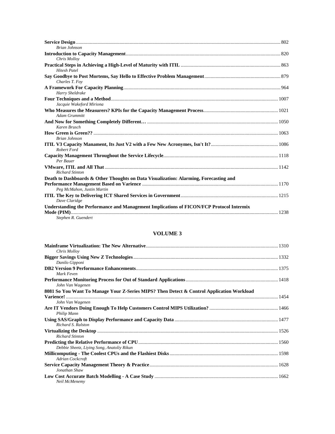| <b>Brian Johnson</b>                                                                                                |  |
|---------------------------------------------------------------------------------------------------------------------|--|
|                                                                                                                     |  |
| Chris Mollov                                                                                                        |  |
| <b>Hitesh Patel</b>                                                                                                 |  |
| Charles T. Foy                                                                                                      |  |
| Harry Sheldrake                                                                                                     |  |
| Jacquie Wakeford Miriona                                                                                            |  |
| <b>Adam Grummitt</b>                                                                                                |  |
| Karen Brusch                                                                                                        |  |
| <b>Brian Johnson</b>                                                                                                |  |
| <b>Robert Ford</b>                                                                                                  |  |
| Per Bauer                                                                                                           |  |
| <b>Richard Stinton</b>                                                                                              |  |
| Death to Dashboards & Other Thoughts on Data Visualization: Alarming, Forecasting and<br>Peg McMahon, Justin Martin |  |
| Dave Claridge                                                                                                       |  |
| Understanding the Performance and Management Implications of FICON/FCP Protocol Intermix<br>Stephen R. Guendert     |  |

### **VOLUME 3**

| Chris Mollov                                                                              |  |
|-------------------------------------------------------------------------------------------|--|
|                                                                                           |  |
| Danilo Gipponi                                                                            |  |
|                                                                                           |  |
| Mark Feven                                                                                |  |
|                                                                                           |  |
| John Van Wagenen                                                                          |  |
| 8081 So You Want To Manage Your Z-Series MIPS? Then Detect & Control Application Workload |  |
|                                                                                           |  |
| John Van Wagenen                                                                          |  |
|                                                                                           |  |
| Philip Mann                                                                               |  |
|                                                                                           |  |
| Richard S. Ralston                                                                        |  |
|                                                                                           |  |
| <b>Richard Stinton</b>                                                                    |  |
|                                                                                           |  |
| Debbie Sheetz, Living Song, Anatoliy Rikun                                                |  |
|                                                                                           |  |
| Adrian Cockcroft                                                                          |  |
|                                                                                           |  |
| Jonathan Shaw                                                                             |  |
|                                                                                           |  |
| Neil McMenemy                                                                             |  |